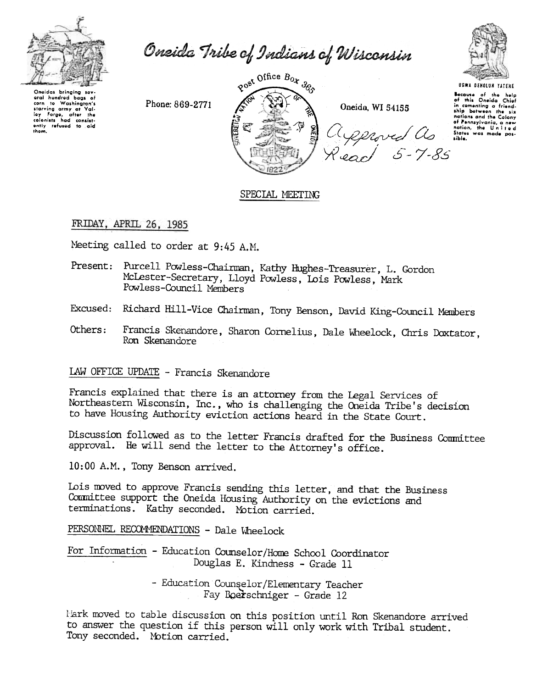

Oneida Tribe of Indians of Wisconsin



Onoidas bringing sov aral hundred baas of to Washington's corn to Washington's<br>starving army at Valley Forge, after the<br>colonists had consistently refused to aid<br>them.

Phone: 869-2771



**UGWA DEHOLUN YATENE** 

Because of the help<br>of this Oneida Chief<br>in cementing a friend-<br>ship between the six nations and the Colony nations and the Catony<br>of Pennsylvania, a new<br>nation, the United<br>States was made possible.

# SPECIAL MEETING

# FRIDAY, APRIL 26, 1985

Meeting called to order at 9:45 A.M.

- Present: Purcell Powless-Chairman, Kathy Hughes-Treasurer, L. Gordon McLester-Secretary, Lloyd Powless, Lois Powless, Mark Powless-Council Members
- Excused: Richard Hill-Vice Chairman, Tony Benson, David King-Council Members
- Francis Skenandore, Sharon Cornelius, Dale Wheelock, Chris Doxtator, Others: Ron Skenandore

LAW OFFICE UPDATE - Francis Skenandore

Francis explained that there is an attorney from the Legal Services of Northeastern Wisconsin, Inc., who is challenging the Oneida Tribe's decision to have Housing Authority eviction actions heard in the State Court.

Discussion followed as to the letter Francis drafted for the Business Committee approval. He will send the letter to the Attorney's office.

10:00 A.M., Tony Benson arrived.

Lois moved to approve Francis sending this letter, and that the Business Committee support the Oneida Housing Authority on the evictions and terminations. Kathy seconded. Motion carried.

PERSONNEL RECOMMENDATIONS - Dale Wheelock

For Information - Education Counselor/Home School Coordinator Douglas E. Kindness - Grade 11

> - Education Counselor/Elementary Teacher Fay Boerschniger - Grade 12

Mark moved to table discussion on this position until Ron Skenandore arrived to answer the question if this person will only work with Tribal student. Tony seconded. Motion carried.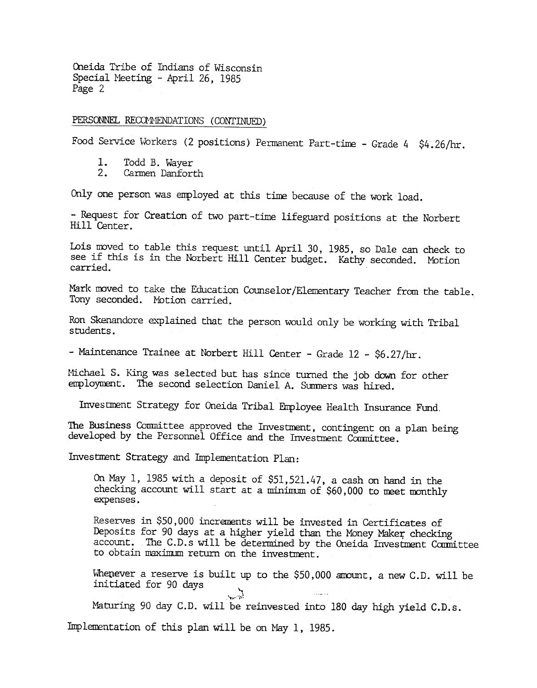# PERSONNEL RECOMMENDATIONS (CONTINUED)

Food Service Workers (2 positions) Permanent Part-time - Grade 4  $$4.26/hr$ .

- 1. Todd B. Wayer<br>2. Carmen Danfori
- Carmen Danforth

Only one person was employed at this time because of the work load.

- Request for Creation of two part-time lifeguard positions at the Norbert Hill Center.

Lois moved to table this request until April 30, 1985, so Dale can check to see if this is in the Norbert Hill Center budget. Kathy seconded. Motion carried.

Mark moved to take the Education Counselor/Elementary Teacher from the table. Tony seconded. Motion carried.

Ron Skenandore explained that the person would only be working with Tribal students.

- Maintenance Trainee at Norbert Hill Center - Grade 12 - \$6.27/hr.

Michael S. King was selected but has since turned the job down for other employment. The second selection Daniel A. Summers was hired.

Investment Strategy for Oneida Tribal Employee Health Insurance Fund,

The Business Committee approved the Investment, contingent on a plan being developed by the Personnel Office and the Investment Committee.

Investment Strategy and Implementation Plan:

On May 1, 1985 with a deposit of \$51,521.47, a cash on hand in the checking account will start at a minimum of \$60,000 to meet monthly expenses.

Reserves in \$50,000 increments will be invested in Certificates of Deposits for 90 days at a higher yield than the Money Maker checking account. The C.D.s will be determined by the Oneida Investment Committee to obtain maximum return on the investment.

Whenever a reserve is built up to the \$50,000 amount, a new C.D. will be initiated for 90 days, , which is a set of the set of the set of the set of the set of the set of the set of the set of the set of the set of the set of the set of the set of the set of the set of the set of the set of the set of the set of the

Maturing 90 day C.D. will be reinvested into 180 day high yield C.D.s.

Implementation of this plan will be on May 1, 1985.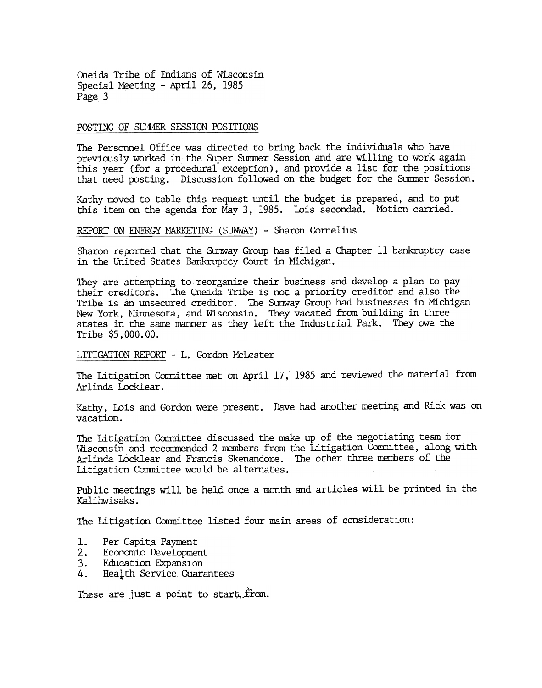### POSTING OF SUMMER SESSION POSITIONS

The Personnel Office was directed to bring back the individuals who have previously worked in the Super Summer Session and are willing to work again this year (for a procedural exception), and provide a list for the positions that need posting. Discussion followed on the budget for the Summer Session.

Kathy moved to table this request until the budget is prepared, and to put this item on the agenda for May 3, 1985. Lois seconded. MOtion carried.

#### REPORT ON ENERGY MARKETING (SUNWAY) - Sharon Cornelius

Sharon reported that the Sunway Group has filed a Chapter 11 bankruptcy case in the United States Bankruptcy Court in Michigan.

They are attempting to reorganize their business and develop a plan to pay their creditors. The Oneida Tribe is not a priority creditor and also the Tribe is an unsecured creditor. 'The Sunway Group had businesses in Michigan New York, Minnesota, and Wisconsin. They vacated from building in three states in the same manner as they left the Industrial Park. They owe the Tribe \$5,000.00.

### LITIGATION REPORT - L. Gordon McLester

The Litigation Ccmnittee met on April 17, 1985 and reviewed the material from Arlinda Locklear.

Kathy, Lois and Gordon were present. Dave had another meeting and Rick was on vacation.

The Litigation Committee discussed the make up of the negotiating team for Wisconsin and recommended 2 members from the Litigation Committee, along with Arlinda Locklear and Francis Skenandore. The other three members of the Litigation Committee would be alternates.

Public meetings will be held once a month and articles will be printed in the Kalihwisaks.

The Litigation Committee listed four main areas of consideration:

- 1.<br>2. Per Capita Payment
- Economic Development
- 3. Education Expansion
- 4. Health Service Guarantees

These are just a point to start. from.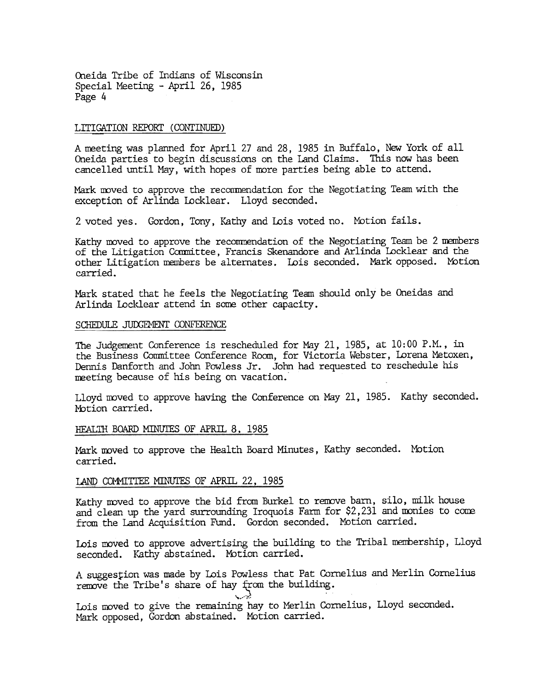#### LITIGATION REPORT (CONTINUED)

A meeting was planned for April 27 and 28, 1985 in Buffalo, New York of all Oneida parties to begin discussions on the Land Claims. This now has been cancelled until May, with hopes of more parties being able to attend.

Mark moved to approve the recommendation for the Negotiating Team with the exception of Arlinda Locklear. Lloyd seconded.

2 voted yes. Gordon, Tony, Kathy and Lois voted no. Motion fails.

Kathy moved to approve the recommendation of the Negotiating Team be 2 members of the Litigation Camlittee, Francis Skenandore and Arlinda Locklear and the other Litigation members be alternates. Lois seconded. Mark opposed. Mbtion carried.

Mark stated that he feels the Negotiating Team should only be Oneidas and Ar linda Locklear attend in some other capacity.

#### SCHEDULE JUDGEMENT CONFERENCE

The Judgement Conference is rescheduled for May 21, 1985, at 10: 00 P.M., in the Business Committee Conference Room, for Victoria Webster, Lorena Metoxen, Dennis Danforth and Jolm Powless Jr. John had requested to reschedule his meeting because of his being on vacation.

Lloyd moved to approve having the Conference on May 21, 1985. Kathy seconded Motion carried.

#### HEALTH BOARD MINUTES OF APRIL 8, 1985

Mark moved to approve the Health Board Minutes, Kathy seconded. Motion carried.

### LAND COMMITTEE MINUTES OF APRIL 22, 1985

Kathy moved to approve the bid from Burkel to remove barn, silo, milk house and clean up the yard surrounding Iroquois Farm for \$2,231 and monies to come from the Land Acquisition Fund. Gordon seconded. Motion carried.

Lois moved to approve advertising the building to the Tribal membership, Lloyd seconded. Kathy abstained. Motion carried.

A suggestion was made by Lois Powless that Pat Cornelius and Merlin Cornelius remove the Tribe's share of hay from the building.

 $\sim$   $\sim$ Lois moved to give the remaining hay to Merlin Cornelius, Lloyd seconded. Mark opposed, Gordon abstained. Motion carried.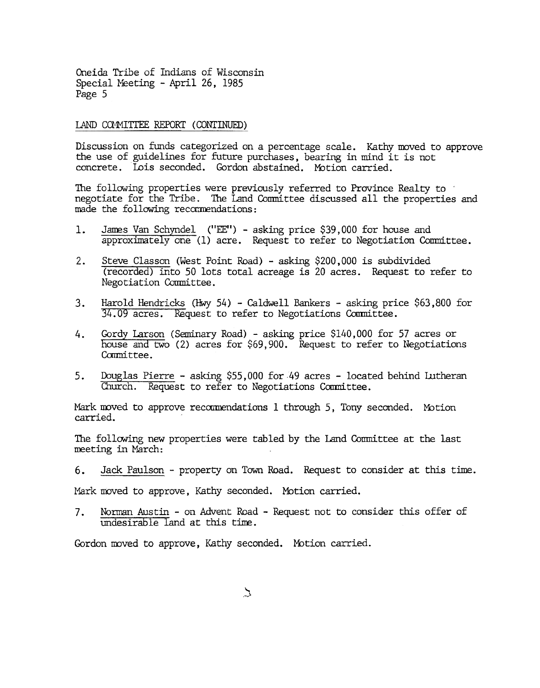## LAND COMMITTEE REPORT (CONTINUED)

Discussion on funds categorized on a percentage scale. Kathy moved to approve the use of guidelines for future purchases, bearing in mind it is not concrete. Lois seconded. Gordon abstained. Mbtion carried.

The following properties were previously referred to Province Realty to negotiate for the Tribe. The Land Committee discussed all the properties and made the following recommendations:

- James Van Schyndel ("EE") asking price \$39,000 for house and 1. approximately one (1) acre. Request to refer to Negotiation Committee.
- (recorded) into 50 lots total acreage is 20 acres. Request to refer to Negotiation Committee.
- Harold Hendricks (Hwy 54) Caldwell Bankers asking price  $$63,800$  for 34.09 acres. Request to refer to Negotiations Committee.
- 2. Steve Classon (West Point Road) asking \$200,000 is subdivided and the secondary inherence Classon (West Point Road) Calckell Bankers asking price  $\frac{300000 \text{ ft}}{34.09 \text{ arcres}}$ . Request to refer to Negotiations Com Gordy Larson (Seminary Road) - asking price \$140,000 for 57 acres or house and two (2) acres for \$69,900. Request to refer to Negotiations Committee.
	- 5. Douglas Pierre asking \$55,000 for 49 acres located behind Lutheran Church. Request to refer to Negotiations Committee.

Mark moved to approve recommendations 1 through 5, Tony seconded. Motio carried.

The follcwing new properties were tabled by the Land Conmittee at the last neeting in March:

Jack Paulson - property on Town Road. Request to consider at this time.

Mark moved to approve, Kathy seconded. Motion carried.<br>
7. Norman Austin - on Advent Road - Request not to a<br>
undesirable land at this time.<br>
Gordon moved to approve, Kathy seconded. Motion carried. Norman Austin - on Advent Road - Request not to consider this offer of undesirable land at this time. 7.

Gordon moved to approve, Kathy seconded. Motion carried.